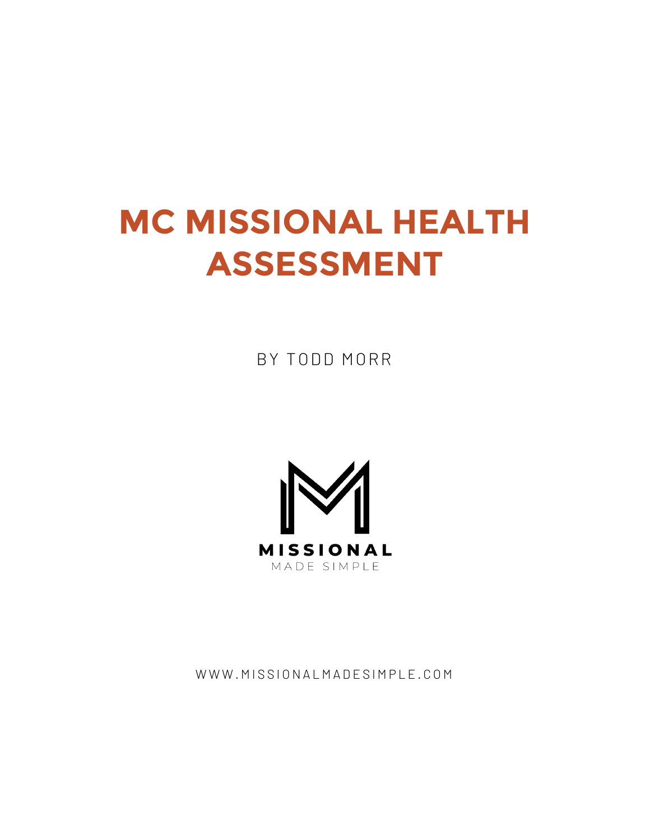## **MC MISSIONAL HEALTH ASSESSMENT**

BY TODD MORR



WWW.MISSIONALMADESIMPLE.COM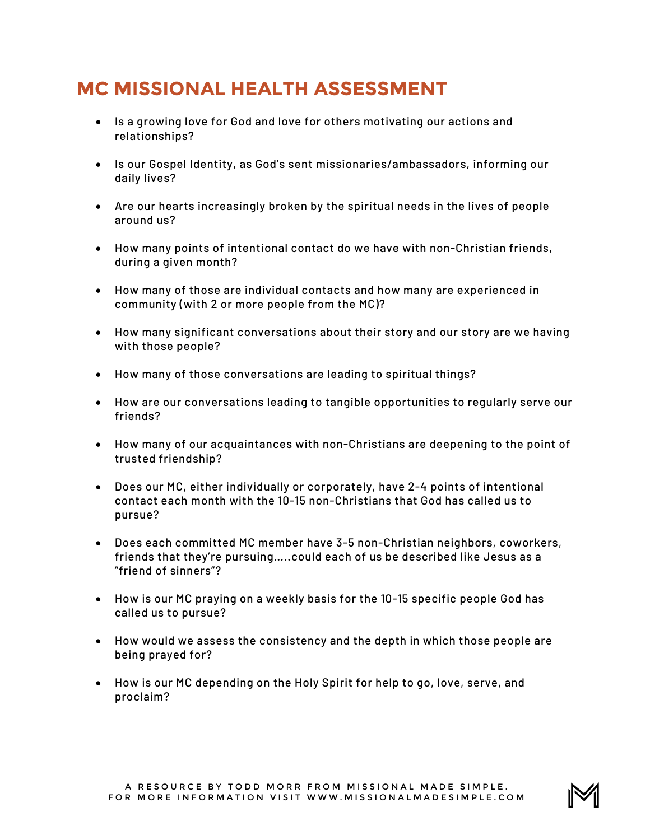## **MC MISSIONAL HEALTH ASSESSMENT**

- Is a growing love for God and love for others motivating our actions and relationships?
- Is our Gospel Identity, as God's sent missionaries/ambassadors, informing our daily lives?
- Are our hearts increasingly broken by the spiritual needs in the lives of people around us?
- How many points of intentional contact do we have with non-Christian friends, during a given month?
- How many of those are individual contacts and how many are experienced in community (with 2 or more people from the MC)?
- How many significant conversations about their story and our story are we having with those people?
- How many of those conversations are leading to spiritual things?
- How are our conversations leading to tangible opportunities to regularly serve our friends?
- How many of our acquaintances with non-Christians are deepening to the point of trusted friendship?
- Does our MC, either individually or corporately, have 2-4 points of intentional contact each month with the 10-15 non-Christians that God has called us to pursue?
- Does each committed MC member have 3-5 non-Christian neighbors, coworkers, friends that they're pursuing…..could each of us be described like Jesus as a "friend of sinners"?
- How is our MC praying on a weekly basis for the 10-15 specific people God has called us to pursue?
- How would we assess the consistency and the depth in which those people are being prayed for?
- How is our MC depending on the Holy Spirit for help to go, love, serve, and proclaim?